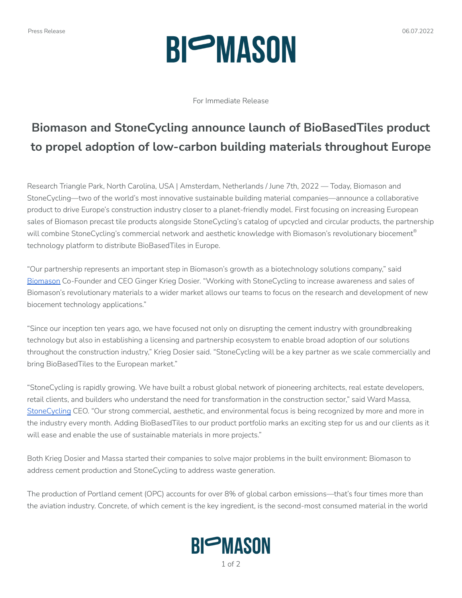# Press Release 06.07.2022 **BIOMASON**

For Immediate Release

### **Biomason and StoneCycling announce launch of BioBasedTiles product to propel adoption of low-carbon building materials throughout Europe**

Research Triangle Park, North Carolina, USA | Amsterdam, Netherlands / June 7th, 2022 — Today, Biomason and StoneCycling—two of the world's most innovative sustainable building material companies—announce a collaborative product to drive Europe's construction industry closer to a planet-friendly model. First focusing on increasing European sales of Biomason precast tile products alongside StoneCycling's catalog of upcycled and circular products, the partnership will combine StoneCycling's commercial network and aesthetic knowledge with Biomason's revolutionary biocement $^\circ$ technology platform to distribute BioBasedTiles in Europe.

"Our partnership represents an important step in Biomason's growth as a biotechnology solutions company," said [Biomason](https://biomason.com/) Co-Founder and CEO Ginger Krieg Dosier. "Working with StoneCycling to increase awareness and sales of Biomason's revolutionary materials to a wider market allows our teams to focus on the research and development of new biocement technology applications."

"Since our inception ten years ago, we have focused not only on disrupting the cement industry with groundbreaking technology but also in establishing a licensing and partnership ecosystem to enable broad adoption of our solutions throughout the construction industry," Krieg Dosier said. "StoneCycling will be a key partner as we scale commercially and bring BioBasedTiles to the European market."

"StoneCycling is rapidly growing. We have built a robust global network of pioneering architects, real estate developers, retail clients, and builders who understand the need for transformation in the construction sector," said Ward Massa, [StoneCycling](https://www.stonecycling.com/milestone/) CEO. "Our strong commercial, aesthetic, and environmental focus is being recognized by more and more in the industry every month. Adding BioBasedTiles to our product portfolio marks an exciting step for us and our clients as it will ease and enable the use of sustainable materials in more projects."

Both Krieg Dosier and Massa started their companies to solve major problems in the built environment: Biomason to address cement production and StoneCycling to address waste generation.

The production of Portland cement (OPC) accounts for over 8% of global carbon emissions—that's four times more than the aviation industry. Concrete, of which cement is the key ingredient, is the second-most consumed material in the world